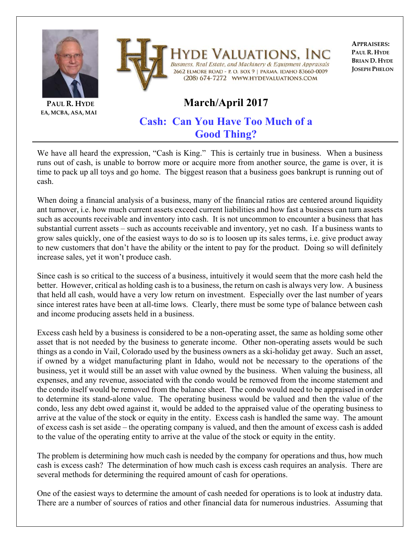



**PAUL R. HYDE EA, MCBA, ASA, MAI**

## Valuations. In Business, Real Estate, and Machinery & Equipment Appraisals 2662 ELMORE ROAD - P. O. BOX 9 | PARMA, IDAHO 83660-0009 (208) 674-7272 WWW.HYDEVALUATIONS.COM

**APPRAISERS: PAUL R. HYDE BRIAN D. HYDE JOSEPH PHELON**

## **March/April 2017**

## **Cash: Can You Have Too Much of a Good Thing?**

We have all heard the expression, "Cash is King." This is certainly true in business. When a business runs out of cash, is unable to borrow more or acquire more from another source, the game is over, it is time to pack up all toys and go home. The biggest reason that a business goes bankrupt is running out of cash.

When doing a financial analysis of a business, many of the financial ratios are centered around liquidity ant turnover, i.e. how much current assets exceed current liabilities and how fast a business can turn assets such as accounts receivable and inventory into cash. It is not uncommon to encounter a business that has substantial current assets – such as accounts receivable and inventory, yet no cash. If a business wants to grow sales quickly, one of the easiest ways to do so is to loosen up its sales terms, i.e. give product away to new customers that don't have the ability or the intent to pay for the product. Doing so will definitely increase sales, yet it won't produce cash.

Since cash is so critical to the success of a business, intuitively it would seem that the more cash held the better. However, critical as holding cash is to a business, the return on cash is always very low. A business that held all cash, would have a very low return on investment. Especially over the last number of years since interest rates have been at all-time lows. Clearly, there must be some type of balance between cash and income producing assets held in a business.

Excess cash held by a business is considered to be a non-operating asset, the same as holding some other asset that is not needed by the business to generate income. Other non-operating assets would be such things as a condo in Vail, Colorado used by the business owners as a ski-holiday get away. Such an asset, if owned by a widget manufacturing plant in Idaho, would not be necessary to the operations of the business, yet it would still be an asset with value owned by the business. When valuing the business, all expenses, and any revenue, associated with the condo would be removed from the income statement and the condo itself would be removed from the balance sheet. The condo would need to be appraised in order to determine its stand-alone value. The operating business would be valued and then the value of the condo, less any debt owed against it, would be added to the appraised value of the operating business to arrive at the value of the stock or equity in the entity. Excess cash is handled the same way. The amount of excess cash is set aside – the operating company is valued, and then the amount of excess cash is added to the value of the operating entity to arrive at the value of the stock or equity in the entity.

The problem is determining how much cash is needed by the company for operations and thus, how much cash is excess cash? The determination of how much cash is excess cash requires an analysis. There are several methods for determining the required amount of cash for operations.

One of the easiest ways to determine the amount of cash needed for operations is to look at industry data. There are a number of sources of ratios and other financial data for numerous industries. Assuming that